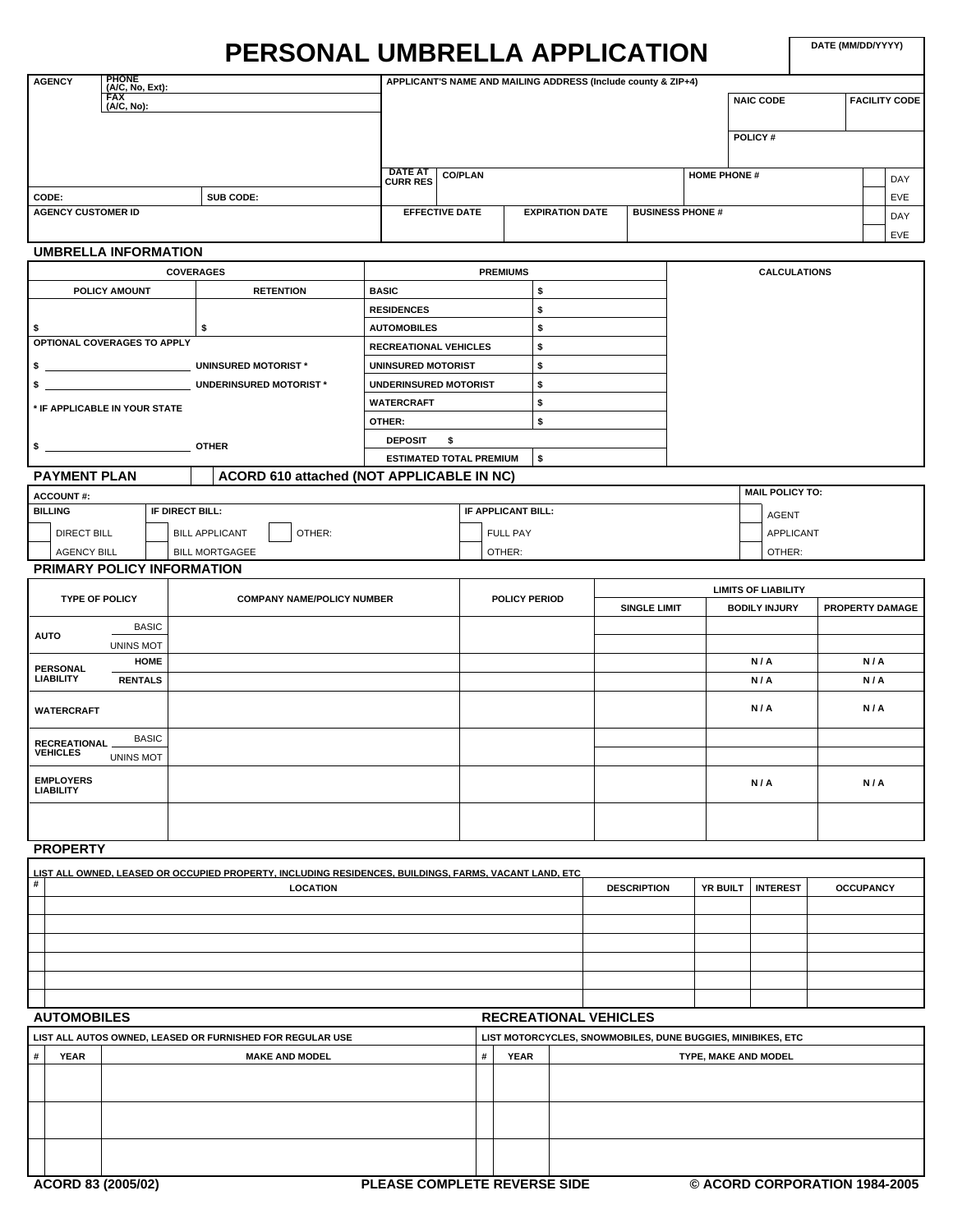# **PERSONAL UMBRELLA APPLICATION**

**DATE (MM/DD/YYYY)**

| <b>PHONE</b><br><b>AGENCY</b><br>(A/C, No, Ext): |                  |                                   |                       | APPLICANT'S NAME AND MAILING ADDRESS (Include county & ZIP+4) |                         |                     |                     |                      |
|--------------------------------------------------|------------------|-----------------------------------|-----------------------|---------------------------------------------------------------|-------------------------|---------------------|---------------------|----------------------|
| <b>FAX</b><br>(A/C, No):                         |                  |                                   |                       |                                                               |                         |                     | <b>NAIC CODE</b>    | <b>FACILITY CODE</b> |
|                                                  |                  |                                   |                       |                                                               |                         |                     | POLICY#             |                      |
|                                                  |                  | <b>DATE AT</b><br><b>CURR RES</b> | <b>CO/PLAN</b>        |                                                               |                         | <b>HOME PHONE #</b> |                     | DAY                  |
| CODE:                                            | SUB CODE:        |                                   |                       |                                                               |                         |                     |                     | EVE                  |
| <b>AGENCY CUSTOMER ID</b>                        |                  |                                   | <b>EFFECTIVE DATE</b> | <b>EXPIRATION DATE</b>                                        | <b>BUSINESS PHONE #</b> |                     |                     | DAY                  |
|                                                  |                  |                                   |                       |                                                               |                         |                     |                     | EVE                  |
| <b>UMBRELLA INFORMATION</b>                      |                  |                                   |                       |                                                               |                         |                     |                     |                      |
|                                                  | <b>COVERAGES</b> |                                   | <b>PREMIUMS</b>       |                                                               |                         |                     | <b>CALCULATIONS</b> |                      |
| POLICY AMOUNT                                    | <b>RETENTION</b> | <b>BASIC</b>                      |                       | \$                                                            |                         |                     |                     |                      |
|                                                  |                  | <b>RESIDENCES</b>                 |                       | \$                                                            |                         |                     |                     |                      |
| \$                                               | \$               | <b>AUTOMOBILES</b>                |                       | \$                                                            |                         |                     |                     |                      |
| OPTIONAL COVERAGES TO APPLY                      |                  | <b>RECREATIONAL VEHICLES</b>      |                       | \$                                                            |                         |                     |                     |                      |

|                               |              |                                           | <b>RECREATIONAL VEHICLES</b> |                                |  |
|-------------------------------|--------------|-------------------------------------------|------------------------------|--------------------------------|--|
|                               |              | UNINSURED MOTORIST *                      | UNINSURED MOTORIST           |                                |  |
|                               |              | <b>UNDERINSURED MOTORIST*</b>             | UNDERINSURED MOTORIST        |                                |  |
| * IF APPLICABLE IN YOUR STATE |              |                                           | <b>WATERCRAFT</b>            |                                |  |
|                               |              |                                           | OTHER:                       |                                |  |
|                               | <b>OTHER</b> |                                           | <b>DEPOSIT</b>               |                                |  |
|                               |              |                                           |                              | <b>ESTIMATED TOTAL PREMIUM</b> |  |
| PAYMENT PLAN                  |              | ACORD 610 attached (NOT APPLICABLE IN NC) |                              |                                |  |

| ACCOUNT#:          |                                 |                    |  | MAIL POLICY TO: |
|--------------------|---------------------------------|--------------------|--|-----------------|
| I BILLING          | IF DIRECT BILL:                 | IF APPLICANT BILL: |  | <b>AGENT</b>    |
| <b>DIRECT BILL</b> | OTHER:<br><b>BILL APPLICANT</b> | <b>FULL PAY</b>    |  | APPLICANT       |
| <b>AGENCY BILL</b> | <b>BILL MORTGAGEE</b>           | OTHER:             |  | OTHER:          |

## **PRIMARY POLICY INFORMATION**

|                                      |                  |                                   |                      |                     | <b>LIMITS OF LIABILITY</b> |                 |
|--------------------------------------|------------------|-----------------------------------|----------------------|---------------------|----------------------------|-----------------|
| <b>TYPE OF POLICY</b>                |                  | <b>COMPANY NAME/POLICY NUMBER</b> | <b>POLICY PERIOD</b> | <b>SINGLE LIMIT</b> | <b>BODILY INJURY</b>       | PROPERTY DAMAGE |
|                                      | <b>BASIC</b>     |                                   |                      |                     |                            |                 |
| <b>AUTO</b>                          | <b>UNINS MOT</b> |                                   |                      |                     |                            |                 |
| <b>PERSONAL</b>                      | <b>HOME</b>      |                                   |                      |                     | N/A                        | N/A             |
| <b>LIABILITY</b>                     | <b>RENTALS</b>   |                                   |                      |                     | N/A                        | N/A             |
| <b>WATERCRAFT</b>                    |                  |                                   |                      |                     | N/A                        | N/A             |
| <b>RECREATIONAL</b>                  | <b>BASIC</b>     |                                   |                      |                     |                            |                 |
| <b>VEHICLES</b>                      | <b>UNINS MOT</b> |                                   |                      |                     |                            |                 |
| <b>EMPLOYERS</b><br><b>LIABILITY</b> |                  |                                   |                      |                     | N/A                        | N/A             |
|                                      |                  |                                   |                      |                     |                            |                 |

# **PROPERTY**

|   | LIST ALL OWNED, LEASED OR OCCUPIED PROPERTY, INCLUDING RESIDENCES, BUILDINGS, FARMS, VACANT LAND, ETC. |                    |                   |                  |
|---|--------------------------------------------------------------------------------------------------------|--------------------|-------------------|------------------|
| # | <b>LOCATION</b>                                                                                        | <b>DESCRIPTION</b> | YR BUILT INTEREST | <b>OCCUPANCY</b> |
|   |                                                                                                        |                    |                   |                  |
|   |                                                                                                        |                    |                   |                  |
|   |                                                                                                        |                    |                   |                  |
|   |                                                                                                        |                    |                   |                  |
|   |                                                                                                        |                    |                   |                  |
|   |                                                                                                        |                    |                   |                  |

## **AUTOMOBILES RECREATIONAL VEHICLES**

|   | LIST ALL AUTOS OWNED, LEASED OR FURNISHED FOR REGULAR USE |                       |             | LIST MOTORCYCLES, SNOWMOBILES, DUNE BUGGIES, MINIBIKES, ETC |
|---|-----------------------------------------------------------|-----------------------|-------------|-------------------------------------------------------------|
| # | <b>YEAR</b>                                               | <b>MAKE AND MODEL</b> | <b>YEAR</b> | TYPE, MAKE AND MODEL                                        |
|   |                                                           |                       |             |                                                             |
|   |                                                           |                       |             |                                                             |
|   |                                                           |                       |             |                                                             |
|   |                                                           |                       |             |                                                             |
|   |                                                           |                       |             |                                                             |
|   |                                                           |                       |             |                                                             |